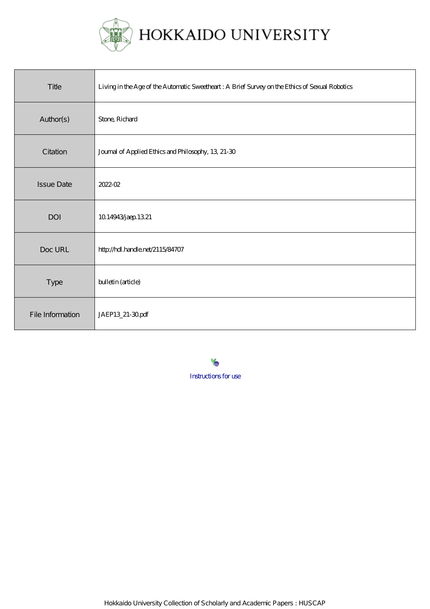

HOKKAIDO UNIVERSITY

| Title             | Living in the Age of the Automatic Sweetheart: A Brief Survey on the Ethics of Sexual Robotics |
|-------------------|------------------------------------------------------------------------------------------------|
| Author(s)         | Stone, Richard                                                                                 |
| Citation          | Journal of Applied Ethics and Philosophy, 13, 21-30                                            |
| <b>Issue Date</b> | 2022-02                                                                                        |
| DOI               | 1014943/jaep 1321                                                                              |
| Doc URL           | http://hdl.handle.net/2115/84707                                                               |
| Type              | bulletin (article)                                                                             |
| File Information  | JAEP13_21-30pdf                                                                                |

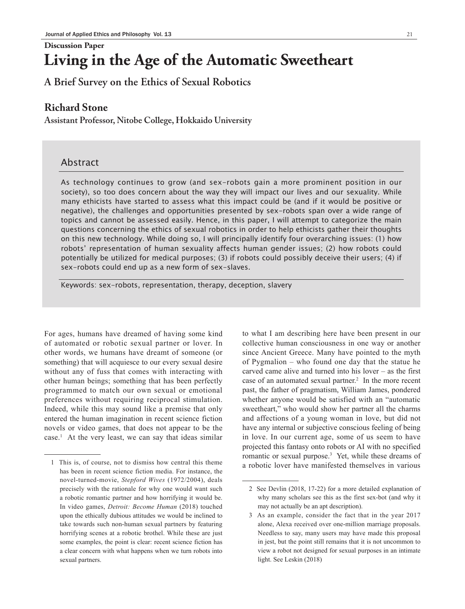#### **Discussion Paper**

# **Living in the Age of the Automatic Sweetheart**

**A Brief Survey on the Ethics of Sexual Robotics**

# **Richard Stone**

**Assistant Professor, Nitobe College, Hokkaido University**

# Abstract

As technology continues to grow (and sex-robots gain a more prominent position in our society), so too does concern about the way they will impact our lives and our sexuality. While many ethicists have started to assess what this impact could be (and if it would be positive or negative), the challenges and opportunities presented by sex-robots span over a wide range of topics and cannot be assessed easily. Hence, in this paper, I will attempt to categorize the main questions concerning the ethics of sexual robotics in order to help ethicists gather their thoughts on this new technology. While doing so, I will principally identify four overarching issues: (1) how robots' representation of human sexuality affects human gender issues; (2) how robots could potentially be utilized for medical purposes; (3) if robots could possibly deceive their users; (4) if sex-robots could end up as a new form of sex-slaves.

Keywords: sex-robots, representation, therapy, deception, slavery

For ages, humans have dreamed of having some kind of automated or robotic sexual partner or lover. In other words, we humans have dreamt of someone (or something) that will acquiesce to our every sexual desire without any of fuss that comes with interacting with other human beings; something that has been perfectly programmed to match our own sexual or emotional preferences without requiring reciprocal stimulation. Indeed, while this may sound like a premise that only entered the human imagination in recent science fiction novels or video games, that does not appear to be the case.1 At the very least, we can say that ideas similar to what I am describing here have been present in our collective human consciousness in one way or another since Ancient Greece. Many have pointed to the myth of Pygmalion – who found one day that the statue he carved came alive and turned into his lover – as the first case of an automated sexual partner.<sup>2</sup> In the more recent past, the father of pragmatism, William James, pondered whether anyone would be satisfied with an "automatic sweetheart," who would show her partner all the charms and affections of a young woman in love, but did not have any internal or subjective conscious feeling of being in love. In our current age, some of us seem to have projected this fantasy onto robots or AI with no specified romantic or sexual purpose.<sup>3</sup> Yet, while these dreams of a robotic lover have manifested themselves in various

<sup>1</sup> This is, of course, not to dismiss how central this theme has been in recent science fiction media. For instance, the novel-turned-movie, *Stepford Wives* (1972/2004), deals precisely with the rationale for why one would want such a robotic romantic partner and how horrifying it would be. In video games, *Detroit: Become Human* (2018) touched upon the ethically dubious attitudes we would be inclined to take towards such non-human sexual partners by featuring horrifying scenes at a robotic brothel. While these are just some examples, the point is clear: recent science fiction has a clear concern with what happens when we turn robots into sexual partners.

<sup>2</sup> See Devlin (2018, 17-22) for a more detailed explanation of why many scholars see this as the first sex-bot (and why it may not actually be an apt description).

<sup>3</sup> As an example, consider the fact that in the year 2017 alone, Alexa received over one-million marriage proposals. Needless to say, many users may have made this proposal in jest, but the point still remains that it is not uncommon to view a robot not designed for sexual purposes in an intimate light. See Leskin (2018)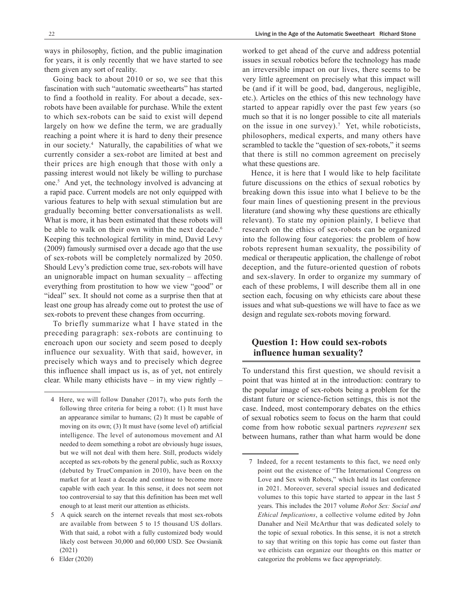ways in philosophy, fiction, and the public imagination for years, it is only recently that we have started to see them given any sort of reality.

Going back to about 2010 or so, we see that this fascination with such "automatic sweethearts" has started to find a foothold in reality. For about a decade, sexrobots have been available for purchase. While the extent to which sex-robots can be said to exist will depend largely on how we define the term, we are gradually reaching a point where it is hard to deny their presence in our society.4 Naturally, the capabilities of what we currently consider a sex-robot are limited at best and their prices are high enough that those with only a passing interest would not likely be willing to purchase one.5 And yet, the technology involved is advancing at a rapid pace. Current models are not only equipped with various features to help with sexual stimulation but are gradually becoming better conversationalists as well. What is more, it has been estimated that these robots will be able to walk on their own within the next decade.<sup>6</sup> Keeping this technological fertility in mind, David Levy (2009) famously surmised over a decade ago that the use of sex-robots will be completely normalized by 2050. Should Levy's prediction come true, sex-robots will have an unignorable impact on human sexuality – affecting everything from prostitution to how we view "good" or "ideal" sex. It should not come as a surprise then that at least one group has already come out to protest the use of sex-robots to prevent these changes from occurring.

To briefly summarize what I have stated in the preceding paragraph: sex-robots are continuing to encroach upon our society and seem posed to deeply influence our sexuality. With that said, however, in precisely which ways and to precisely which degree this influence shall impact us is, as of yet, not entirely clear. While many ethicists have – in my view rightly –

worked to get ahead of the curve and address potential issues in sexual robotics before the technology has made an irreversible impact on our lives, there seems to be very little agreement on precisely what this impact will be (and if it will be good, bad, dangerous, negligible, etc.). Articles on the ethics of this new technology have started to appear rapidly over the past few years (so much so that it is no longer possible to cite all materials on the issue in one survey).7 Yet, while roboticists, philosophers, medical experts, and many others have scrambled to tackle the "question of sex-robots," it seems that there is still no common agreement on precisely what these questions are.

Hence, it is here that I would like to help facilitate future discussions on the ethics of sexual robotics by breaking down this issue into what I believe to be the four main lines of questioning present in the previous literature (and showing why these questions are ethically relevant). To state my opinion plainly, I believe that research on the ethics of sex-robots can be organized into the following four categories: the problem of how robots represent human sexuality, the possibility of medical or therapeutic application, the challenge of robot deception, and the future-oriented question of robots and sex-slavery. In order to organize my summary of each of these problems, I will describe them all in one section each, focusing on why ethicists care about these issues and what sub-questions we will have to face as we design and regulate sex-robots moving forward.

## **Question 1: How could sex-robots influence human sexuality?**

To understand this first question, we should revisit a point that was hinted at in the introduction: contrary to the popular image of sex-robots being a problem for the distant future or science-fiction settings, this is not the case. Indeed, most contemporary debates on the ethics of sexual robotics seem to focus on the harm that could come from how robotic sexual partners *represent* sex between humans, rather than what harm would be done

<sup>4</sup> Here, we will follow Danaher (2017), who puts forth the following three criteria for being a robot: (1) It must have an appearance similar to humans; (2) It must be capable of moving on its own; (3) It must have (some level of) artificial intelligence. The level of autonomous movement and AI needed to deem something a robot are obviously huge issues, but we will not deal with them here. Still, products widely accepted as sex-robots by the general public, such as Roxxxy (debuted by TrueCompanion in 2010), have been on the market for at least a decade and continue to become more capable with each year. In this sense, it does not seem not too controversial to say that this definition has been met well enough to at least merit our attention as ethicists.

<sup>5</sup> A quick search on the internet reveals that most sex-robots are available from between 5 to 15 thousand US dollars. With that said, a robot with a fully customized body would likely cost between 30,000 and 60,000 USD. See Owsianik (2021)

<sup>6</sup> Elder (2020)

<sup>7</sup> Indeed, for a recent testaments to this fact, we need only point out the existence of "The International Congress on Love and Sex with Robots," which held its last conference in 2021. Moreover, several special issues and dedicated volumes to this topic have started to appear in the last 5 years. This includes the 2017 volume *Robot Sex: Social and Ethical Implications*, a collective volume edited by John Danaher and Neil McArthur that was dedicated solely to the topic of sexual robotics. In this sense, it is not a stretch to say that writing on this topic has come out faster than we ethicists can organize our thoughts on this matter or categorize the problems we face appropriately.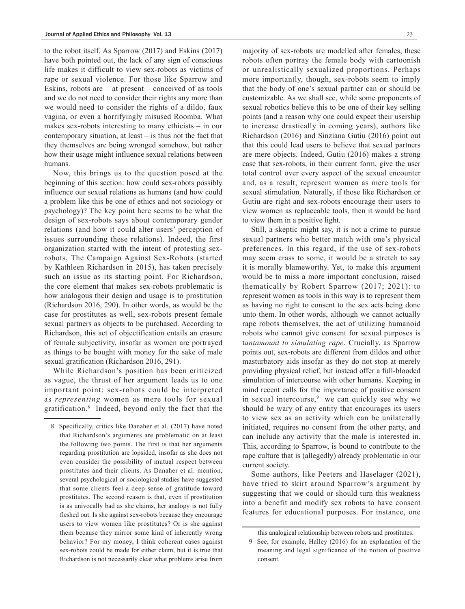to the robot itself. As Sparrow (2017) and Eskins (2017) have both pointed out, the lack of any sign of conscious life makes it difficult to view sex-robots as victims of rape or sexual violence. For those like Sparrow and Eskins, robots are  $-$  at present  $-$  conceived of as tools and we do not need to consider their rights any more than we would need to consider the rights of a dildo, faux vagina, or even a horrifyingly misused Roomba. What makes sex-robots interesting to many ethicists – in our contemporary situation, at least  $-$  is thus not the fact that they themselves are being wronged somehow, but rather how their usage might influence sexual relations between humans.

Now, this brings us to the question posed at the beginning of this section: how could sex-robots possibly influence our sexual relations as humans (and how could a problem like this be one of ethics and not sociology or psychology)? The key point here seems to be what the design of sex-robots says about contemporary gender relations (and how it could alter users' perception of issues surrounding these relations). Indeed, the first organization started with the intent of protesting sexrobots, The Campaign Against Sex-Robots (started by Kathleen Richardson in 2015), has taken precisely such an issue as its starting point. For Richardson, the core element that makes sex-robots problematic is how analogous their design and usage is to prostitution (Richardson 2016, 290). In other words, as would be the case for prostitutes as well, sex-robots present female sexual partners as objects to be purchased. According to Richardson, this act of objectification entails an erasure of female subjectivity, insofar as women are portrayed as things to be bought with money for the sake of male sexual gratification (Richardson 2016, 291).

While Richardson's position has been criticized as vague, the thrust of her argument leads us to one important point: sex-robots could be interpreted as *representing* women as mere tools for sexual gratification.8 Indeed, beyond only the fact that the majority of sex-robots are modelled after females, these robots often portray the female body with cartoonish or unrealistically sexualized proportions. Perhaps more importantly, though, sex-robots seem to imply that the body of one's sexual partner can or should be customizable. As we shall see, while some proponents of sexual robotics believe this to be one of their key selling points (and a reason why one could expect their usership to increase drastically in coming years), authors like Richardson (2016) and Sinziana Gutiu (2016) point out that this could lead users to believe that sexual partners are mere objects. Indeed, Gutiu (2016) makes a strong case that sex-robots, in their current form, give the user total control over every aspect of the sexual encounter and, as a result, represent women as mere tools for sexual stimulation. Naturally, if those like Richardson or Gutiu are right and sex-robots encourage their users to view women as replaceable tools, then it would be hard to view them in a positive light.

Still, a skeptic might say, it is not a crime to pursue sexual partners who better match with one's physical preferences. In this regard, if the use of sex-robots may seem crass to some, it would be a stretch to say it is morally blameworthy. Yet, to make this argument would be to miss a more important conclusion, raised thematically by Robert Sparrow (2017; 2021): to represent women as tools in this way is to represent them as having no right to consent to the sex acts being done unto them. In other words, although we cannot actually rape robots themselves, the act of utilizing humanoid robots who cannot give consent for sexual purposes is t*antamount to simulating rape*. Crucially, as Sparrow points out, sex-robots are different from dildos and other masturbatory aids insofar as they do not stop at merely providing physical relief, but instead offer a full-blooded simulation of intercourse with other humans. Keeping in mind recent calls for the importance of positive consent in sexual intercourse,<sup>9</sup> we can quickly see why we should be wary of any entity that encourages its users to view sex as an activity which can be unilaterally initiated, requires no consent from the other party, and can include any activity that the male is interested in. This, according to Sparrow, is bound to contribute to the rape culture that is (allegedly) already problematic in our current society.

Some authors, like Peeters and Haselager (2021), have tried to skirt around Sparrow's argument by suggesting that we could or should turn this weakness into a benefit and modify sex robots to have consent features for educational purposes. For instance, one

<sup>8</sup> Specifically, critics like Danaher et al. (2017) have noted that Richardson's arguments are problematic on at least the following two points. The first is that her arguments regarding prostitution are lopsided, insofar as she does not even consider the possibility of mutual respect between prostitutes and their clients. As Danaher et al. mention, several psychological or sociological studies have suggested that some clients feel a deep sense of gratitude toward prostitutes. The second reason is that, even if prostitution is as univocally bad as she claims, her analogy is not fully fleshed out. Is she against sex-robots because they encourage users to view women like prostitutes? Or is she against them because they mirror some kind of inherently wrong behavior? For my money, I think coherent cases against sex-robots could be made for either claim, but it is true that Richardson is not necessarily clear what problems arise from

this analogical relationship between robots and prostitutes.

<sup>9</sup> See, for example, Halley (2016) for an explanation of the meaning and legal significance of the notion of positive consent.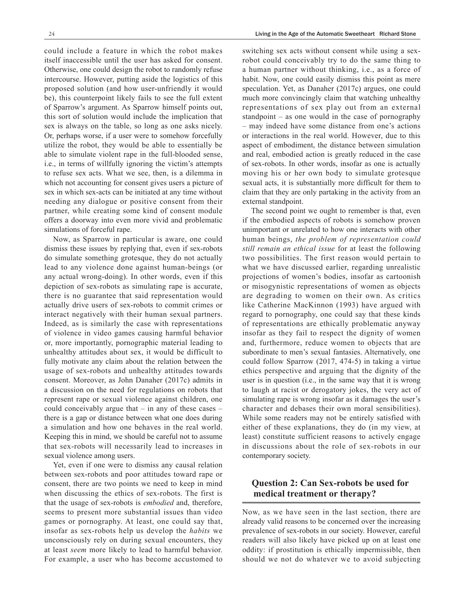could include a feature in which the robot makes itself inaccessible until the user has asked for consent. Otherwise, one could design the robot to randomly refuse intercourse. However, putting aside the logistics of this proposed solution (and how user-unfriendly it would be), this counterpoint likely fails to see the full extent of Sparrow's argument. As Sparrow himself points out, this sort of solution would include the implication that sex is always on the table, so long as one asks nicely. Or, perhaps worse, if a user were to somehow forcefully utilize the robot, they would be able to essentially be able to simulate violent rape in the full-blooded sense, i.e., in terms of willfully ignoring the victim's attempts to refuse sex acts. What we see, then, is a dilemma in which not accounting for consent gives users a picture of sex in which sex-acts can be initiated at any time without needing any dialogue or positive consent from their partner, while creating some kind of consent module offers a doorway into even more vivid and problematic simulations of forceful rape.

Now, as Sparrow in particular is aware, one could dismiss these issues by replying that, even if sex-robots do simulate something grotesque, they do not actually lead to any violence done against human-beings (or any actual wrong-doing). In other words, even if this depiction of sex-robots as simulating rape is accurate, there is no guarantee that said representation would actually drive users of sex-robots to commit crimes or interact negatively with their human sexual partners. Indeed, as is similarly the case with representations of violence in video games causing harmful behavior or, more importantly, pornographic material leading to unhealthy attitudes about sex, it would be difficult to fully motivate any claim about the relation between the usage of sex-robots and unhealthy attitudes towards consent. Moreover, as John Danaher (2017c) admits in a discussion on the need for regulations on robots that represent rape or sexual violence against children, one could conceivably argue that  $-$  in any of these cases  $$ there is a gap or distance between what one does during a simulation and how one behaves in the real world. Keeping this in mind, we should be careful not to assume that sex-robots will necessarily lead to increases in sexual violence among users.

Yet, even if one were to dismiss any causal relation between sex-robots and poor attitudes toward rape or consent, there are two points we need to keep in mind when discussing the ethics of sex-robots. The first is that the usage of sex-robots is *embodied* and, therefore, seems to present more substantial issues than video games or pornography. At least, one could say that, insofar as sex-robots help us develop the *habits* we unconsciously rely on during sexual encounters, they at least *seem* more likely to lead to harmful behavior. For example, a user who has become accustomed to switching sex acts without consent while using a sexrobot could conceivably try to do the same thing to a human partner without thinking, i.e., as a force of habit. Now, one could easily dismiss this point as mere speculation. Yet, as Danaher (2017c) argues, one could much more convincingly claim that watching unhealthy representations of sex play out from an external standpoint – as one would in the case of pornography – may indeed have some distance from one's actions or interactions in the real world. However, due to this aspect of embodiment, the distance between simulation and real, embodied action is greatly reduced in the case of sex-robots. In other words, insofar as one is actually moving his or her own body to simulate grotesque sexual acts, it is substantially more difficult for them to claim that they are only partaking in the activity from an external standpoint.

The second point we ought to remember is that, even if the embodied aspects of robots is somehow proven unimportant or unrelated to how one interacts with other human beings, *the problem of representation could still remain an ethical issue* for at least the following two possibilities. The first reason would pertain to what we have discussed earlier, regarding unrealistic projections of women's bodies, insofar as cartoonish or misogynistic representations of women as objects are degrading to women on their own. As critics like Catherine MacKinnon (1993) have argued with regard to pornography, one could say that these kinds of representations are ethically problematic anyway insofar as they fail to respect the dignity of women and, furthermore, reduce women to objects that are subordinate to men's sexual fantasies. Alternatively, one could follow Sparrow (2017, 474-5) in taking a virtue ethics perspective and arguing that the dignity of the user is in question (i.e., in the same way that it is wrong to laugh at racist or derogatory jokes, the very act of simulating rape is wrong insofar as it damages the user's character and debases their own moral sensibilities). While some readers may not be entirely satisfied with either of these explanations, they do (in my view, at least) constitute sufficient reasons to actively engage in discussions about the role of sex-robots in our contemporary society.

#### **Question 2: Can Sex-robots be used for medical treatment or therapy?**

Now, as we have seen in the last section, there are already valid reasons to be concerned over the increasing prevalence of sex-robots in our society. However, careful readers will also likely have picked up on at least one oddity: if prostitution is ethically impermissible, then should we not do whatever we to avoid subjecting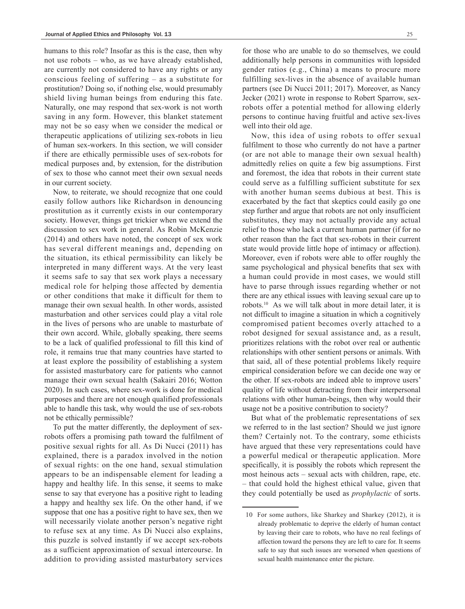humans to this role? Insofar as this is the case, then why not use robots – who, as we have already established, are currently not considered to have any rights or any conscious feeling of suffering – as a substitute for prostitution? Doing so, if nothing else, would presumably shield living human beings from enduring this fate. Naturally, one may respond that sex-work is not worth saving in any form. However, this blanket statement may not be so easy when we consider the medical or therapeutic applications of utilizing sex-robots in lieu of human sex-workers. In this section, we will consider if there are ethically permissible uses of sex-robots for medical purposes and, by extension, for the distribution of sex to those who cannot meet their own sexual needs in our current society.

Now, to reiterate, we should recognize that one could easily follow authors like Richardson in denouncing prostitution as it currently exists in our contemporary society. However, things get trickier when we extend the discussion to sex work in general. As Robin McKenzie (2014) and others have noted, the concept of sex work has several different meanings and, depending on the situation, its ethical permissibility can likely be interpreted in many different ways. At the very least it seems safe to say that sex work plays a necessary medical role for helping those affected by dementia or other conditions that make it difficult for them to manage their own sexual health. In other words, assisted masturbation and other services could play a vital role in the lives of persons who are unable to masturbate of their own accord. While, globally speaking, there seems to be a lack of qualified professional to fill this kind of role, it remains true that many countries have started to at least explore the possibility of establishing a system for assisted masturbatory care for patients who cannot manage their own sexual health (Sakairi 2016; Wotton 2020). In such cases, where sex-work is done for medical purposes and there are not enough qualified professionals able to handle this task, why would the use of sex-robots not be ethically permissible?

To put the matter differently, the deployment of sexrobots offers a promising path toward the fulfilment of positive sexual rights for all. As Di Nucci (2011) has explained, there is a paradox involved in the notion of sexual rights: on the one hand, sexual stimulation appears to be an indispensable element for leading a happy and healthy life. In this sense, it seems to make sense to say that everyone has a positive right to leading a happy and healthy sex life. On the other hand, if we suppose that one has a positive right to have sex, then we will necessarily violate another person's negative right to refuse sex at any time. As Di Nucci also explains, this puzzle is solved instantly if we accept sex-robots as a sufficient approximation of sexual intercourse. In addition to providing assisted masturbatory services

for those who are unable to do so themselves, we could additionally help persons in communities with lopsided gender ratios (e.g., China) a means to procure more fulfilling sex-lives in the absence of available human partners (see Di Nucci 2011; 2017). Moreover, as Nancy Jecker (2021) wrote in response to Robert Sparrow, sexrobots offer a potential method for allowing elderly persons to continue having fruitful and active sex-lives well into their old age.

Now, this idea of using robots to offer sexual fulfilment to those who currently do not have a partner (or are not able to manage their own sexual health) admittedly relies on quite a few big assumptions. First and foremost, the idea that robots in their current state could serve as a fulfilling sufficient substitute for sex with another human seems dubious at best. This is exacerbated by the fact that skeptics could easily go one step further and argue that robots are not only insufficient substitutes, they may not actually provide any actual relief to those who lack a current human partner (if for no other reason than the fact that sex-robots in their current state would provide little hope of intimacy or affection). Moreover, even if robots were able to offer roughly the same psychological and physical benefits that sex with a human could provide in most cases, we would still have to parse through issues regarding whether or not there are any ethical issues with leaving sexual care up to robots.10 As we will talk about in more detail later, it is not difficult to imagine a situation in which a cognitively compromised patient becomes overly attached to a robot designed for sexual assistance and, as a result, prioritizes relations with the robot over real or authentic relationships with other sentient persons or animals. With that said, all of these potential problems likely require empirical consideration before we can decide one way or the other. If sex-robots are indeed able to improve users' quality of life without detracting from their interpersonal relations with other human-beings, then why would their usage not be a positive contribution to society?

But what of the problematic representations of sex we referred to in the last section? Should we just ignore them? Certainly not. To the contrary, some ethicists have argued that these very representations could have a powerful medical or therapeutic application. More specifically, it is possibly the robots which represent the most heinous acts – sexual acts with children, rape, etc. – that could hold the highest ethical value, given that they could potentially be used as *prophylactic* of sorts.

<sup>10</sup> For some authors, like Sharkey and Sharkey (2012), it is already problematic to deprive the elderly of human contact by leaving their care to robots, who have no real feelings of affection toward the persons they are left to care for. It seems safe to say that such issues are worsened when questions of sexual health maintenance enter the picture.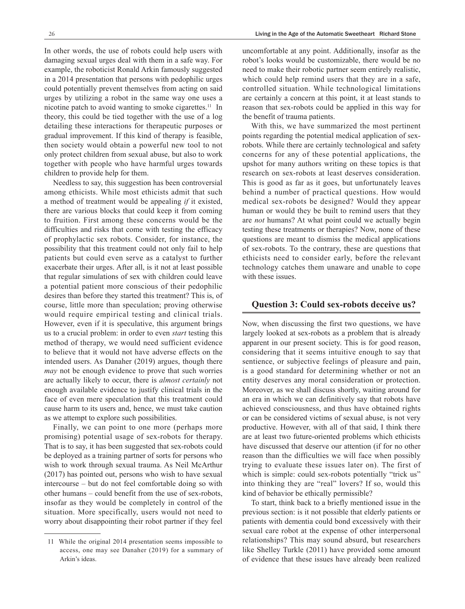In other words, the use of robots could help users with damaging sexual urges deal with them in a safe way. For example, the roboticist Ronald Arkin famously suggested in a 2014 presentation that persons with pedophilic urges could potentially prevent themselves from acting on said urges by utilizing a robot in the same way one uses a nicotine patch to avoid wanting to smoke cigarettes.<sup>11</sup> In theory, this could be tied together with the use of a log detailing these interactions for therapeutic purposes or gradual improvement. If this kind of therapy is feasible, then society would obtain a powerful new tool to not only protect children from sexual abuse, but also to work together with people who have harmful urges towards children to provide help for them.

Needless to say, this suggestion has been controversial among ethicists. While most ethicists admit that such a method of treatment would be appealing *if* it existed, there are various blocks that could keep it from coming to fruition. First among these concerns would be the difficulties and risks that come with testing the efficacy of prophylactic sex robots. Consider, for instance, the possibility that this treatment could not only fail to help patients but could even serve as a catalyst to further exacerbate their urges. After all, is it not at least possible that regular simulations of sex with children could leave a potential patient more conscious of their pedophilic desires than before they started this treatment? This is, of course, little more than speculation; proving otherwise would require empirical testing and clinical trials. However, even if it is speculative, this argument brings us to a crucial problem: in order to even *start* testing this method of therapy, we would need sufficient evidence to believe that it would not have adverse effects on the intended users. As Danaher (2019) argues, though there *may* not be enough evidence to prove that such worries are actually likely to occur, there is *almost certainly* not enough available evidence to justify clinical trials in the face of even mere speculation that this treatment could cause harm to its users and, hence, we must take caution as we attempt to explore such possibilities.

Finally, we can point to one more (perhaps more promising) potential usage of sex-robots for therapy. That is to say, it has been suggested that sex-robots could be deployed as a training partner of sorts for persons who wish to work through sexual trauma. As Neil McArthur (2017) has pointed out, persons who wish to have sexual intercourse – but do not feel comfortable doing so with other humans – could benefit from the use of sex-robots, insofar as they would be completely in control of the situation. More specifically, users would not need to worry about disappointing their robot partner if they feel uncomfortable at any point. Additionally, insofar as the robot's looks would be customizable, there would be no need to make their robotic partner seem entirely realistic, which could help remind users that they are in a safe, controlled situation. While technological limitations are certainly a concern at this point, it at least stands to reason that sex-robots could be applied in this way for the benefit of trauma patients.

With this, we have summarized the most pertinent points regarding the potential medical application of sexrobots. While there are certainly technological and safety concerns for any of these potential applications, the upshot for many authors writing on these topics is that research on sex-robots at least deserves consideration. This is good as far as it goes, but unfortunately leaves behind a number of practical questions. How would medical sex-robots be designed? Would they appear human or would they be built to remind users that they are *not* humans? At what point could we actually begin testing these treatments or therapies? Now, none of these questions are meant to dismiss the medical applications of sex-robots. To the contrary, these are questions that ethicists need to consider early, before the relevant technology catches them unaware and unable to cope with these issues.

#### **Question 3: Could sex-robots deceive us?**

Now, when discussing the first two questions, we have largely looked at sex-robots as a problem that is already apparent in our present society. This is for good reason, considering that it seems intuitive enough to say that sentience, or subjective feelings of pleasure and pain, is a good standard for determining whether or not an entity deserves any moral consideration or protection. Moreover, as we shall discuss shortly, waiting around for an era in which we can definitively say that robots have achieved consciousness, and thus have obtained rights or can be considered victims of sexual abuse, is not very productive. However, with all of that said, I think there are at least two future-oriented problems which ethicists have discussed that deserve our attention (if for no other reason than the difficulties we will face when possibly trying to evaluate these issues later on). The first of which is simple: could sex-robots potentially "trick us" into thinking they are "real" lovers? If so, would this kind of behavior be ethically permissible?

To start, think back to a briefly mentioned issue in the previous section: is it not possible that elderly patients or patients with dementia could bond excessively with their sexual care robot at the expense of other interpersonal relationships? This may sound absurd, but researchers like Shelley Turkle (2011) have provided some amount of evidence that these issues have already been realized

<sup>11</sup> While the original 2014 presentation seems impossible to access, one may see Danaher (2019) for a summary of Arkin's ideas.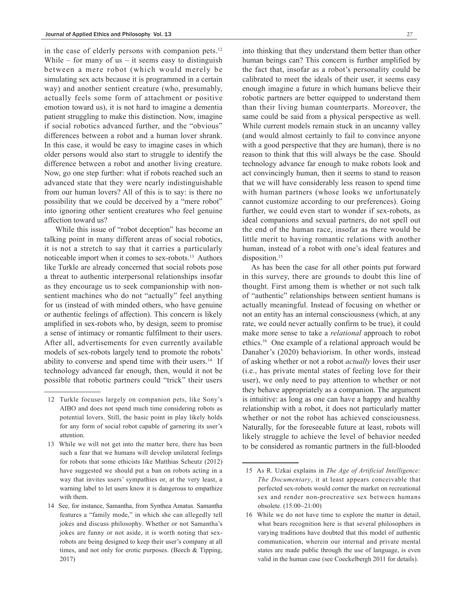in the case of elderly persons with companion pets.<sup>12</sup> While – for many of us – it seems easy to distinguish between a mere robot (which would merely be simulating sex acts because it is programmed in a certain way) and another sentient creature (who, presumably, actually feels some form of attachment or positive emotion toward us), it is not hard to imagine a dementia patient struggling to make this distinction. Now, imagine if social robotics advanced further, and the "obvious" differences between a robot and a human lover shrank. In this case, it would be easy to imagine cases in which older persons would also start to struggle to identify the difference between a robot and another living creature. Now, go one step further: what if robots reached such an advanced state that they were nearly indistinguishable from our human lovers? All of this is to say: is there no possibility that we could be deceived by a "mere robot" into ignoring other sentient creatures who feel genuine affection toward us?

 While this issue of "robot deception" has become an talking point in many different areas of social robotics, it is not a stretch to say that it carries a particularly noticeable import when it comes to sex-robots.13 Authors like Turkle are already concerned that social robots pose a threat to authentic interpersonal relationships insofar as they encourage us to seek companionship with nonsentient machines who do not "actually" feel anything for us (instead of with minded others, who have genuine or authentic feelings of affection). This concern is likely amplified in sex-robots who, by design, seem to promise a sense of intimacy or romantic fulfilment to their users. After all, advertisements for even currently available models of sex-robots largely tend to promote the robots' ability to converse and spend time with their users.<sup>14</sup> If technology advanced far enough, then, would it not be possible that robotic partners could "trick" their users

into thinking that they understand them better than other human beings can? This concern is further amplified by the fact that, insofar as a robot's personality could be calibrated to meet the ideals of their user, it seems easy enough imagine a future in which humans believe their robotic partners are better equipped to understand them than their living human counterparts. Moreover, the same could be said from a physical perspective as well. While current models remain stuck in an uncanny valley (and would almost certainly to fail to convince anyone with a good perspective that they are human), there is no reason to think that this will always be the case. Should technology advance far enough to make robots look and act convincingly human, then it seems to stand to reason that we will have considerably less reason to spend time with human partners (whose looks we unfortunately cannot customize according to our preferences). Going further, we could even start to wonder if sex-robots, as ideal companions and sexual partners, do not spell out the end of the human race, insofar as there would be little merit to having romantic relations with another human, instead of a robot with one's ideal features and disposition.<sup>15</sup>

As has been the case for all other points put forward in this survey, there are grounds to doubt this line of thought. First among them is whether or not such talk of "authentic" relationships between sentient humans is actually meaningful. Instead of focusing on whether or not an entity has an internal consciousness (which, at any rate, we could never actually confirm to be true), it could make more sense to take a *relational* approach to robot ethics.16 One example of a relational approach would be Danaher's (2020) behaviorism. In other words, instead of asking whether or not a robot *actually* loves their user (i.e., has private mental states of feeling love for their user), we only need to pay attention to whether or not they behave appropriately as a companion. The argument is intuitive: as long as one can have a happy and healthy relationship with a robot, it does not particularly matter whether or not the robot has achieved consciousness. Naturally, for the foreseeable future at least, robots will likely struggle to achieve the level of behavior needed to be considered as romantic partners in the full-blooded

<sup>12</sup> Turkle focuses largely on companion pets, like Sony's AIBO and does not spend much time considering robots as potential lovers. Still, the basic point in play likely holds for any form of social robot capable of garnering its user's attention.

<sup>13</sup> While we will not get into the matter here, there has been such a fear that we humans will develop unilateral feelings for robots that some ethicists like Matthias Scheutz (2012) have suggested we should put a ban on robots acting in a way that invites users' sympathies or, at the very least, a warning label to let users know it is dangerous to empathize with them.

<sup>14</sup> See, for instance, Samantha, from Synthea Amatus. Samantha features a "family mode," in which she can allegedly tell jokes and discuss philosophy. Whether or not Samantha's jokes are funny or not aside, it is worth noting that sexrobots are being designed to keep their user's company at all times, and not only for erotic purposes. (Beech & Tipping, 2017)

<sup>15</sup> As R. Uzkai explains in *The Age of Artificial Intelligence: The Documentary*, it at least appears conceivable that perfected sex-robots would corner the market on recreational sex and render non-procreative sex between humans obsolete. (15:00~21:00)

<sup>16</sup> While we do not have time to explore the matter in detail, what bears recognition here is that several philosophers in varying traditions have doubted that this model of authentic communication, wherein our internal and private mental states are made public through the use of language, is even valid in the human case (see Coeckelbergh 2011 for details).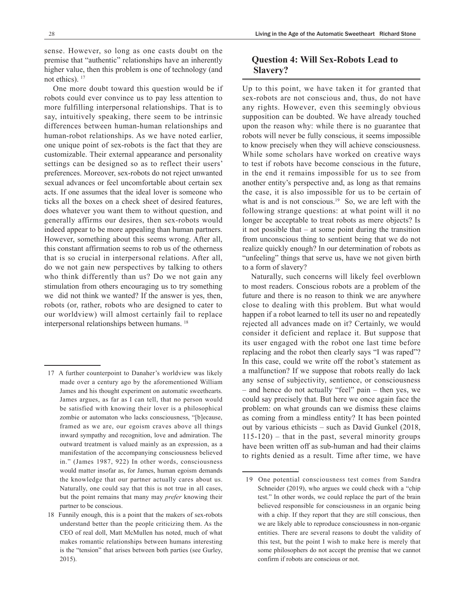sense. However, so long as one casts doubt on the premise that "authentic" relationships have an inherently higher value, then this problem is one of technology (and not ethics).<sup>17</sup>

One more doubt toward this question would be if robots could ever convince us to pay less attention to more fulfilling interpersonal relationships. That is to say, intuitively speaking, there seem to be intrinsic differences between human-human relationships and human-robot relationships. As we have noted earlier, one unique point of sex-robots is the fact that they are customizable. Their external appearance and personality settings can be designed so as to reflect their users' preferences. Moreover, sex-robots do not reject unwanted sexual advances or feel uncomfortable about certain sex acts. If one assumes that the ideal lover is someone who ticks all the boxes on a check sheet of desired features, does whatever you want them to without question, and generally affirms our desires, then sex-robots would indeed appear to be more appealing than human partners. However, something about this seems wrong. After all, this constant affirmation seems to rob us of the otherness that is so crucial in interpersonal relations. After all, do we not gain new perspectives by talking to others who think differently than us? Do we not gain any stimulation from others encouraging us to try something we did not think we wanted? If the answer is yes, then, robots (or, rather, robots who are designed to cater to our worldview) will almost certainly fail to replace interpersonal relationships between humans. 18

## **Question 4: Will Sex-Robots Lead to Slavery?**

Up to this point, we have taken it for granted that sex-robots are not conscious and, thus, do not have any rights. However, even this seemingly obvious supposition can be doubted. We have already touched upon the reason why: while there is no guarantee that robots will never be fully conscious, it seems impossible to know precisely when they will achieve consciousness. While some scholars have worked on creative ways to test if robots have become conscious in the future, in the end it remains impossible for us to see from another entity's perspective and, as long as that remains the case, it is also impossible for us to be certain of what is and is not conscious.<sup>19</sup> So, we are left with the following strange questions: at what point will it no longer be acceptable to treat robots as mere objects? Is it not possible that – at some point during the transition from unconscious thing to sentient being that we do not realize quickly enough? In our determination of robots as "unfeeling" things that serve us, have we not given birth to a form of slavery?

Naturally, such concerns will likely feel overblown to most readers. Conscious robots are a problem of the future and there is no reason to think we are anywhere close to dealing with this problem. But what would happen if a robot learned to tell its user no and repeatedly rejected all advances made on it? Certainly, we would consider it deficient and replace it. But suppose that its user engaged with the robot one last time before replacing and the robot then clearly says "I was raped"? In this case, could we write off the robot's statement as a malfunction? If we suppose that robots really do lack any sense of subjectivity, sentience, or consciousness – and hence do not actually "feel" pain – then yes, we could say precisely that. But here we once again face the problem: on what grounds can we dismiss these claims as coming from a mindless entity? It has been pointed out by various ethicists – such as David Gunkel (2018,  $115-120$  – that in the past, several minority groups have been written off as sub-human and had their claims to rights denied as a result. Time after time, we have

<sup>17</sup> A further counterpoint to Danaher's worldview was likely made over a century ago by the aforementioned William James and his thought experiment on automatic sweethearts. James argues, as far as I can tell, that no person would be satisfied with knowing their lover is a philosophical zombie or automaton who lacks consciousness, "[b]ecause, framed as we are, our egoism craves above all things inward sympathy and recognition, love and admiration. The outward treatment is valued mainly as an expression, as a manifestation of the accompanying consciousness believed in." (James 1987, 922) In other words, consciousness would matter insofar as, for James, human egoism demands the knowledge that our partner actually cares about us. Naturally, one could say that this is not true in all cases, but the point remains that many may *prefer* knowing their partner to be conscious.

<sup>18</sup> Funnily enough, this is a point that the makers of sex-robots understand better than the people criticizing them. As the CEO of real doll, Matt McMullen has noted, much of what makes romantic relationships between humans interesting is the "tension" that arises between both parties (see Gurley, 2015).

<sup>19</sup> One potential consciousness test comes from Sandra Schneider (2019), who argues we could check with a "chip" test." In other words, we could replace the part of the brain believed responsible for consciousness in an organic being with a chip. If they report that they are still conscious, then we are likely able to reproduce consciousness in non-organic entities. There are several reasons to doubt the validity of this test, but the point I wish to make here is merely that some philosophers do not accept the premise that we cannot confirm if robots are conscious or not.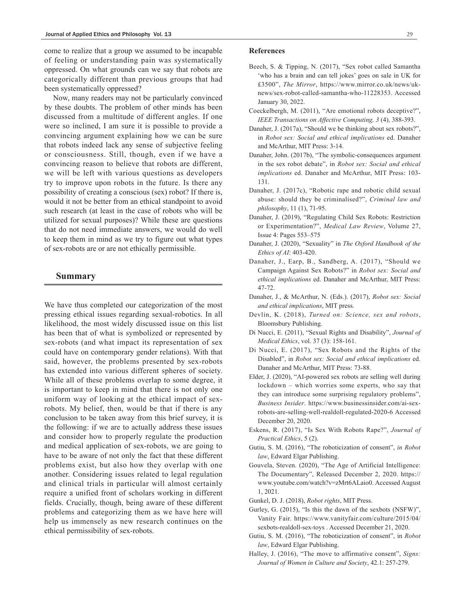come to realize that a group we assumed to be incapable of feeling or understanding pain was systematically oppressed. On what grounds can we say that robots are categorically different than previous groups that had been systematically oppressed?

Now, many readers may not be particularly convinced by these doubts. The problem of other minds has been discussed from a multitude of different angles. If one were so inclined, I am sure it is possible to provide a convincing argument explaining how we can be sure that robots indeed lack any sense of subjective feeling or consciousness. Still, though, even if we have a convincing reason to believe that robots are different, we will be left with various questions as developers try to improve upon robots in the future. Is there any possibility of creating a conscious (sex) robot? If there is, would it not be better from an ethical standpoint to avoid such research (at least in the case of robots who will be utilized for sexual purposes)? While these are questions that do not need immediate answers, we would do well to keep them in mind as we try to figure out what types of sex-robots are or are not ethically permissible.

#### **Summary**

We have thus completed our categorization of the most pressing ethical issues regarding sexual-robotics. In all likelihood, the most widely discussed issue on this list has been that of what is symbolized or represented by sex-robots (and what impact its representation of sex could have on contemporary gender relations). With that said, however, the problems presented by sex-robots has extended into various different spheres of society. While all of these problems overlap to some degree, it is important to keep in mind that there is not only one uniform way of looking at the ethical impact of sexrobots. My belief, then, would be that if there is any conclusion to be taken away from this brief survey, it is the following: if we are to actually address these issues and consider how to properly regulate the production and medical application of sex-robots, we are going to have to be aware of not only the fact that these different problems exist, but also how they overlap with one another. Considering issues related to legal regulation and clinical trials in particular will almost certainly require a unified front of scholars working in different fields. Crucially, though, being aware of these different problems and categorizing them as we have here will help us immensely as new research continues on the ethical permissibility of sex-robots.

#### **References**

- Beech, S. & Tipping, N. (2017), "Sex robot called Samantha 'who has a brain and can tell jokes' goes on sale in UK for £3500", *The Mirror*, https://www.mirror.co.uk/news/uknews/sex-robot-called-samantha-who-11228353. Accessed January 30, 2022.
- Coeckelbergh, M. (2011), "Are emotional robots deceptive?", *IEEE Transactions on Affective Computing, 3* (4), 388-393.
- Danaher, J. (2017a), "Should we be thinking about sex robots?", in *Robot sex: Social and ethical implications* ed. Danaher and McArthur, MIT Press: 3-14.
- Danaher, John. (2017b), "The symbolic-consequences argument in the sex robot debate", in *Robot sex: Social and ethical implications* ed. Danaher and McArthur, MIT Press: 103- 131.
- Danaher, J. (2017c), "Robotic rape and robotic child sexual abuse: should they be criminalised?", *Criminal law and philosophy*, 11 (1), 71-95.
- Danaher, J. (2019), "Regulating Child Sex Robots: Restriction or Experimentation?", *Medical Law Review*, Volume 27, Issue 4: Pages 553–575
- Danaher, J. (2020), "Sexuality" in *The Oxford Handbook of the Ethics of AI*: 403-420.
- Danaher, J., Earp, B., Sandberg, A. (2017), "Should we Campaign Against Sex Robots?" in *Robot sex: Social and ethical implications* ed. Danaher and McArthur, MIT Press: 47-72.
- Danaher, J., & McArthur, N. (Eds.). (2017), *Robot sex: Social and ethical implications*, MIT press.
- Devlin, K. (2018), *Turned on: Science, sex and robots*, Bloomsbury Publishing.
- Di Nucci, E. (2011), "Sexual Rights and Disability", *Journal of Medical Ethics*, vol. 37 (3): 158-161.
- Di Nucci, E. (2017), "Sex Robots and the Rights of the Disabled", in *Robot sex: Social and ethical implications* ed. Danaher and McArthur, MIT Press: 73-88.
- Elder, J. (2020), "AI-powered sex robots are selling well during lockdown – which worries some experts, who say that they can introduce some surprising regulatory problems", *Business Insider*. https://www.businessinsider.com/ai-sexrobots-are-selling-well-realdoll-regulated-2020-6 Accessed December 20, 2020.
- Eskens, R. (2017), "Is Sex With Robots Rape?", *Journal of Practical Ethics*, 5 (2).
- Gutiu, S. M. (2016), "The roboticization of consent", *in Robot law*, Edward Elgar Publishing.
- Gouvela, Steven. (2020), "The Age of Artificial Intelligence: The Documentary", Released December 2, 2020. https:// www.youtube.com/watch?v=zMrt6ALaio0. Accessed August 1, 2021.
- Gunkel, D. J. (2018), *Robot rights*, MIT Press.
- Gurley, G. (2015), "Is this the dawn of the sexbots (NSFW)", Vanity Fair. https://www.vanityfair.com/culture/2015/04/ sexbots-realdoll-sex-toys . Accessed December 21, 2020.
- Gutiu, S. M. (2016), "The roboticization of consent", in *Robot law*, Edward Elgar Publishing.
- Halley, J. (2016), "The move to affirmative consent", *Signs: Journal of Women in Culture and Society*, 42.1: 257-279.